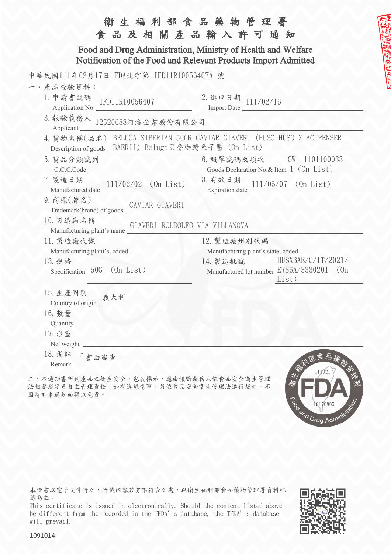|                                                                                                                                | 衛生福利部食品藥物管理署<br>食品及相關產品輸入許可通知                       |  |  |  |  |
|--------------------------------------------------------------------------------------------------------------------------------|-----------------------------------------------------|--|--|--|--|
| Food and Drug Administration, Ministry of Health and Welfare<br>Notification of the Food and Relevant Products Import Admitted |                                                     |  |  |  |  |
| 中華民國111年02月17日 FDA北字第 IFD11R10056407A 號                                                                                        |                                                     |  |  |  |  |
| 一、產品查驗資料:                                                                                                                      |                                                     |  |  |  |  |
| 1. 申請書號碼<br>IFD11R10056407<br>Application No.                                                                                  | 2. 進口日期 111/02/16<br>Import Date                    |  |  |  |  |
| 3. 報驗義務人 $12520688$ 河洛企業股份有限公司<br>Applicant_                                                                                   |                                                     |  |  |  |  |
| 4. 貨物名稱(品名) BELUGA SIBERIAN 50GR CAVIAR GIAVERI (HUSO HUSO X ACIPENSER                                                         |                                                     |  |  |  |  |
| Description of goods BAERII) Beluga貝魯迦鱘魚子醬 (On List)                                                                           |                                                     |  |  |  |  |
| 5. 貨品分類號列                                                                                                                      |                                                     |  |  |  |  |
| C.C.C.Code                                                                                                                     | Goods Declaration No.& Item 1 (0n List)             |  |  |  |  |
| 7. 製造日期<br>$111/02/02$ (On List)<br>Manufactured date                                                                          | 8. 有效日期<br>$111/05/07$ (On List)<br>Expiration date |  |  |  |  |
| 9. 商標(牌名)                                                                                                                      |                                                     |  |  |  |  |
| 10. 製造廠名稱<br>GIAVERI ROLDOLFO VIA VILLANOVA<br>Manufacturing plant's name                                                      |                                                     |  |  |  |  |
| 11. 製造廠代號                                                                                                                      | 12. 製造廠州別代碼                                         |  |  |  |  |
|                                                                                                                                | Manufacturing plant's state, coded                  |  |  |  |  |
| 13. 規格                                                                                                                         | HUSXBAE/C/IT/2021/<br>14. 製造批號                      |  |  |  |  |
| Specification 50G (On List)                                                                                                    | Manufactured lot number E786A/3330201 (On<br>List)  |  |  |  |  |
| 15. 生產國別<br>義大利<br>Country of origin                                                                                           |                                                     |  |  |  |  |
| 16. 數量                                                                                                                         |                                                     |  |  |  |  |
| Quantity_                                                                                                                      |                                                     |  |  |  |  |
| 17. 淨重                                                                                                                         |                                                     |  |  |  |  |
| Net weight                                                                                                                     |                                                     |  |  |  |  |
| 18. 備註<br>「書面審查」                                                                                                               | 食品藥                                                 |  |  |  |  |
| Remark                                                                                                                         |                                                     |  |  |  |  |
| 二、本通知書所列產品之衛生安全、包裝標示,應由報驗義務人依食品安全衛生管理<br>法相關規定負自主管理責任。如有違規情事,另依食品安全衛生管理法進行裁罰,不                                                 | 11/0217                                             |  |  |  |  |

本證書以電子文件行之,所載內容若有不符合之處,以衛生福利部食品藥物管理署資料紀 錄為主。

This certificate is issued in electronically. Should the content listed above be different from the recorded in the TFDA's database, the TFDA's database will prevail.



To de Telyun

1091014

因持有本通知而得以免責。